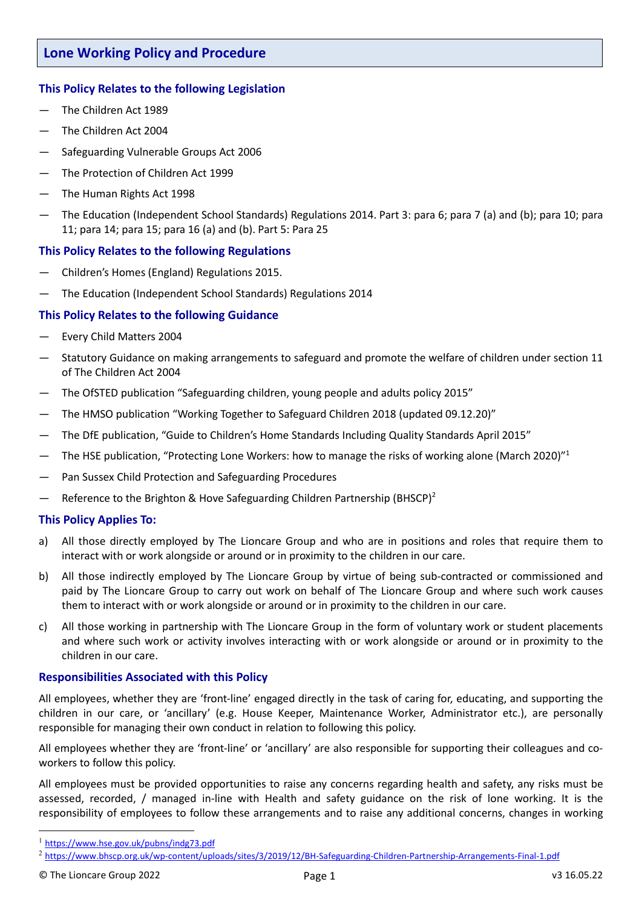# **This Policy Relates to the following Legislation**

- The Children Act 1989
- The Children Act 2004
- Safeguarding Vulnerable Groups Act 2006
- The Protection of Children Act 1999
- The Human Rights Act 1998
- The Education (Independent School Standards) Regulations 2014. Part 3: para 6; para 7 (a) and (b); para 10; para 11; para 14; para 15; para 16 (a) and (b). Part 5: Para 25

# **This Policy Relates to the following Regulations**

- Children's Homes (England) Regulations 2015.
- The Education (Independent School Standards) Regulations 2014

# **This Policy Relates to the following Guidance**

- Every Child Matters 2004
- Statutory Guidance on making arrangements to safeguard and promote the welfare of children under section 11 of The Children Act 2004
- The OfSTED publication "Safeguarding children, young people and adults policy 2015"
- The HMSO publication "Working Together to Safeguard Children 2018 (updated 09.12.20)"
- The DfE publication, "Guide to Children's Home Standards Including Quality Standards April 2015"
- $-$  The HSE publication, "Protecting Lone Workers: how to manage the risks of working alone (March 2020)"<sup>1</sup>
- Pan Sussex Child Protection and Safeguarding Procedures
- $-$  Reference to the Brighton & Hove Safeguarding Children Partnership (BHSCP)<sup>2</sup>

# **This Policy Applies To:**

- a) All those directly employed by The Lioncare Group and who are in positions and roles that require them to interact with or work alongside or around or in proximity to the children in our care.
- b) All those indirectly employed by The Lioncare Group by virtue of being sub-contracted or commissioned and paid by The Lioncare Group to carry out work on behalf of The Lioncare Group and where such work causes them to interact with or work alongside or around or in proximity to the children in our care.
- c) All those working in partnership with The Lioncare Group in the form of voluntary work or student placements and where such work or activity involves interacting with or work alongside or around or in proximity to the children in our care.

# **Responsibilities Associated with this Policy**

All employees, whether they are 'front-line' engaged directly in the task of caring for, educating, and supporting the children in our care, or 'ancillary' (e.g. House Keeper, Maintenance Worker, Administrator etc.), are personally responsible for managing their own conduct in relation to following this policy.

All employees whether they are 'front-line' or 'ancillary' are also responsible for supporting their colleagues and coworkers to follow this policy.

All employees must be provided opportunities to raise any concerns regarding health and safety, any risks must be assessed, recorded, / managed in-line with Health and safety guidance on the risk of lone working. It is the responsibility of employees to follow these arrangements and to raise any additional concerns, changes in working

<sup>1</sup> <https://www.hse.gov.uk/pubns/indg73.pdf>

<sup>2</sup> <https://www.bhscp.org.uk/wp-content/uploads/sites/3/2019/12/BH-Safeguarding-Children-Partnership-Arrangements-Final-1.pdf>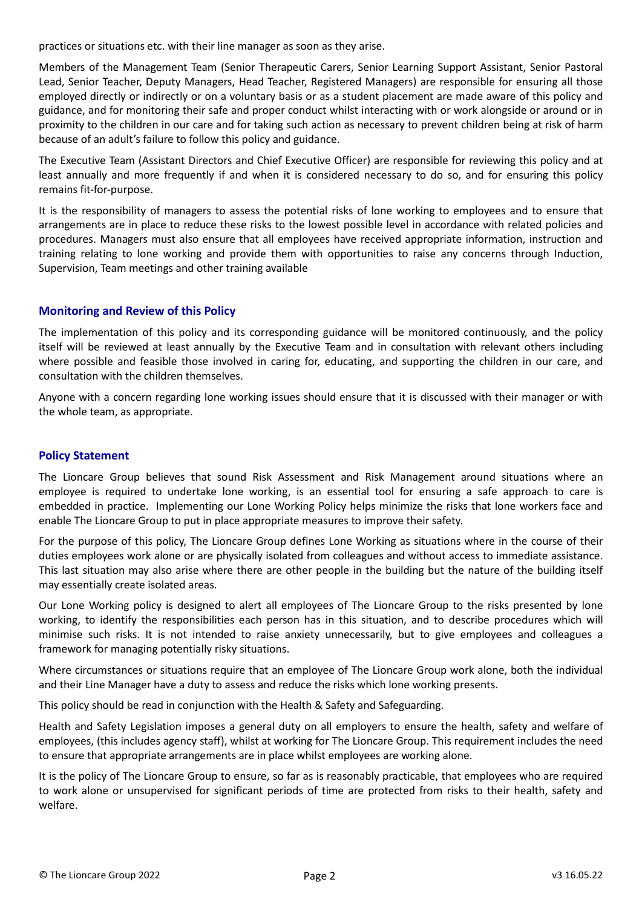practices or situations etc. with their line manager as soon as they arise.

Members of the Management Team (Senior Therapeutic Carers, Senior Learning Support Assistant, Senior Pastoral Lead, Senior Teacher, Deputy Managers, Head Teacher, Registered Managers) are responsible for ensuring all those employed directly or indirectly or on a voluntary basis or as a student placement are made aware of this policy and guidance, and for monitoring their safe and proper conduct whilst interacting with or work alongside or around or in proximity to the children in our care and for taking such action as necessary to prevent children being at risk of harm because of an adult's failure to follow this policy and guidance.

The Executive Team (Assistant Directors and Chief Executive Officer) are responsible for reviewing this policy and at least annually and more frequently if and when it is considered necessary to do so, and for ensuring this policy remains fit-for-purpose.

It is the responsibility of managers to assess the potential risks of lone working to employees and to ensure that arrangements are in place to reduce these risks to the lowest possible level in accordance with related policies and procedures. Managers must also ensure that all employees have received appropriate information, instruction and training relating to lone working and provide them with opportunities to raise any concerns through Induction, Supervision, Team meetings and other training available

# **Monitoring and Review of this Policy**

The implementation of this policy and its corresponding guidance will be monitored continuously, and the policy itself will be reviewed at least annually by the Executive Team and in consultation with relevant others including where possible and feasible those involved in caring for, educating, and supporting the children in our care, and consultation with the children themselves.

Anyone with a concern regarding lone working issues should ensure that it is discussed with their manager or with the whole team, as appropriate.

# **Policy Statement**

The Lioncare Group believes that sound Risk Assessment and Risk Management around situations where an employee is required to undertake lone working, is an essential tool for ensuring a safe approach to care is embedded in practice. Implementing our Lone Working Policy helps minimize the risks that lone workers face and enable The Lioncare Group to put in place appropriate measures to improve their safety.

For the purpose of this policy, The Lioncare Group defines Lone Working as situations where in the course of their duties employees work alone or are physically isolated from colleagues and without access to immediate assistance. This last situation may also arise where there are other people in the building but the nature of the building itself may essentially create isolated areas.

Our Lone Working policy is designed to alert all employees of The Lioncare Group to the risks presented by lone working, to identify the responsibilities each person has in this situation, and to describe procedures which will minimise such risks. It is not intended to raise anxiety unnecessarily, but to give employees and colleagues a framework for managing potentially risky situations.

Where circumstances or situations require that an employee of The Lioncare Group work alone, both the individual and their Line Manager have a duty to assess and reduce the risks which lone working presents.

This policy should be read in conjunction with the Health & Safety and Safeguarding.

Health and Safety Legislation imposes a general duty on all employers to ensure the health, safety and welfare of employees, (this includes agency staff), whilst at working for The Lioncare Group. This requirement includes the need to ensure that appropriate arrangements are in place whilst employees are working alone.

It is the policy of The Lioncare Group to ensure, so far as is reasonably practicable, that employees who are required to work alone or unsupervised for significant periods of time are protected from risks to their health, safety and welfare.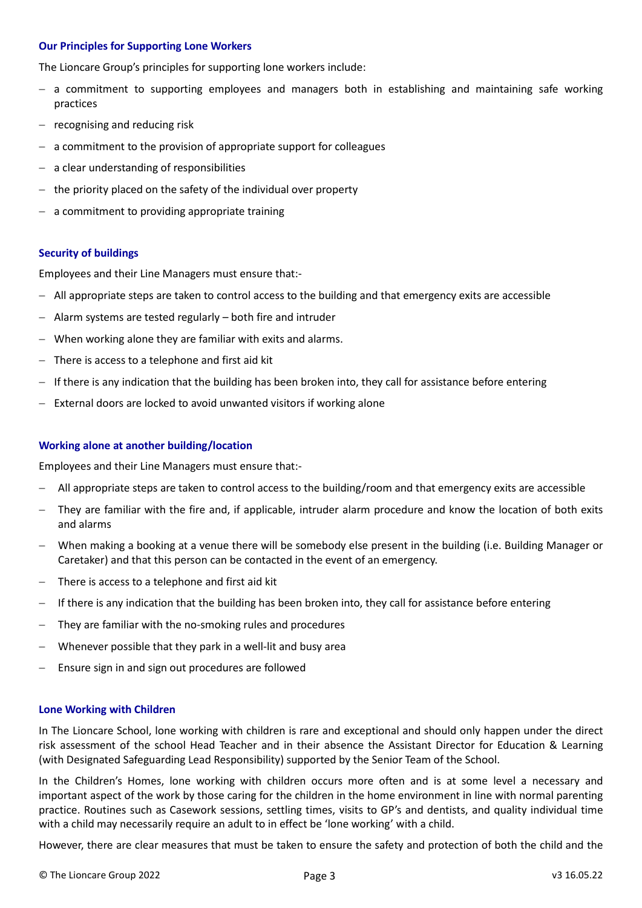### **Our Principles for Supporting Lone Workers**

The Lioncare Group's principles for supporting lone workers include:

- $-$  a commitment to supporting employees and managers both in establishing and maintaining safe working practices
- $-$  recognising and reducing risk
- $-$  a commitment to the provision of appropriate support for colleagues
- $-$  a clear understanding of responsibilities
- $-$  the priority placed on the safety of the individual over property
- $-$  a commitment to providing appropriate training

### **Security of buildings**

Employees and their Line Managers must ensure that:-

- $-$  All appropriate steps are taken to control access to the building and that emergency exits are accessible
- Alarm systems are tested regularly both fire and intruder
- When working alone they are familiar with exits and alarms.
- There is access to a telephone and first aid kit
- If there is any indication that the building has been broken into, they call for assistance before entering
- $-$  External doors are locked to avoid unwanted visitors if working alone

### **Working alone at another building/location**

Employees and their Line Managers must ensure that:-

- All appropriate steps are taken to control access to the building/room and that emergency exits are accessible
- They are familiar with the fire and, if applicable, intruder alarm procedure and know the location of both exits and alarms
- When making a booking at a venue there will be somebody else present in the building (i.e. Building Manager or Caretaker) and that this person can be contacted in the event of an emergency.
- There is access to a telephone and first aid kit
- If there is any indication that the building has been broken into, they call for assistance before entering
- They are familiar with the no-smoking rules and procedures
- Whenever possible that they park in a well-lit and busy area
- Ensure sign in and sign out procedures are followed

#### **Lone Working with Children**

In The Lioncare School, lone working with children is rare and exceptional and should only happen under the direct risk assessment of the school Head Teacher and in their absence the Assistant Director for Education & Learning (with Designated Safeguarding Lead Responsibility) supported by the Senior Team of the School.

In the Children's Homes, lone working with children occurs more often and is at some level a necessary and important aspect of the work by those caring for the children in the home environment in line with normal parenting practice. Routines such as Casework sessions, settling times, visits to GP's and dentists, and quality individual time with a child may necessarily require an adult to in effect be 'lone working' with a child.

However, there are clear measures that must be taken to ensure the safety and protection of both the child and the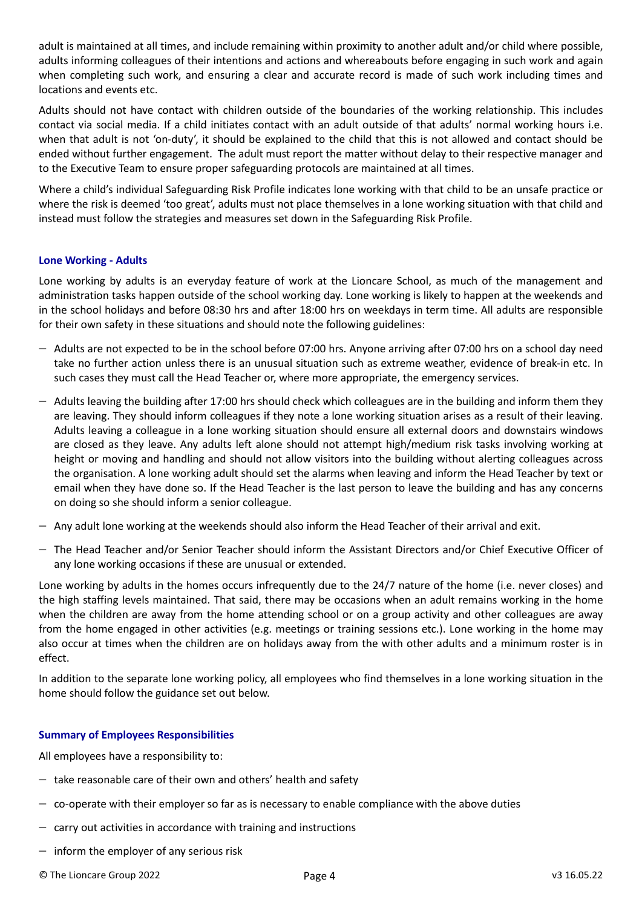adult is maintained at all times, and include remaining within proximity to another adult and/or child where possible, adults informing colleagues of their intentions and actions and whereabouts before engaging in such work and again when completing such work, and ensuring a clear and accurate record is made of such work including times and locations and events etc.

Adults should not have contact with children outside of the boundaries of the working relationship. This includes contact via social media. If a child initiates contact with an adult outside of that adults' normal working hours i.e. when that adult is not 'on-duty', it should be explained to the child that this is not allowed and contact should be ended without further engagement. The adult must report the matter without delay to their respective manager and to the Executive Team to ensure proper safeguarding protocols are maintained at all times.

Where a child's individual Safeguarding Risk Profile indicates lone working with that child to be an unsafe practice or where the risk is deemed 'too great', adults must not place themselves in a lone working situation with that child and instead must follow the strategies and measures set down in the Safeguarding Risk Profile.

# **Lone Working - Adults**

Lone working by adults is an everyday feature of work at the Lioncare School, as much of the management and administration tasks happen outside of the school working day. Lone working is likely to happen at the weekends and in the school holidays and before 08:30 hrs and after 18:00 hrs on weekdays in term time. All adults are responsible for their own safety in these situations and should note the following guidelines:

- Adults are not expected to be in the school before 07:00 hrs. Anyone arriving after 07:00 hrs on a school day need take no further action unless there is an unusual situation such as extreme weather, evidence of break-in etc. In such cases they must call the Head Teacher or, where more appropriate, the emergency services.
- $-$  Adults leaving the building after 17:00 hrs should check which colleagues are in the building and inform them they are leaving. They should inform colleagues if they note a lone working situation arises as a result of their leaving. Adults leaving a colleague in a lone working situation should ensure all external doors and downstairs windows are closed as they leave. Any adults left alone should not attempt high/medium risk tasks involving working at height or moving and handling and should not allow visitors into the building without alerting colleagues across the organisation. A lone working adult should set the alarms when leaving and inform the Head Teacher by text or email when they have done so. If the Head Teacher is the last person to leave the building and has any concerns on doing so she should inform a senior colleague.
- $-$  Any adult lone working at the weekends should also inform the Head Teacher of their arrival and exit.
- $-$  The Head Teacher and/or Senior Teacher should inform the Assistant Directors and/or Chief Executive Officer of any lone working occasions if these are unusual or extended.

Lone working by adults in the homes occurs infrequently due to the 24/7 nature of the home (i.e. never closes) and the high staffing levels maintained. That said, there may be occasions when an adult remains working in the home when the children are away from the home attending school or on a group activity and other colleagues are away from the home engaged in other activities (e.g. meetings or training sessions etc.). Lone working in the home may also occur at times when the children are on holidays away from the with other adults and a minimum roster is in effect.

In addition to the separate lone working policy, all employees who find themselves in a lone working situation in the home should follow the guidance set out below.

# **Summary of Employees Responsibilities**

All employees have a responsibility to:

- $-$  take reasonable care of their own and others' health and safety
- $-$  co-operate with their employer so far as is necessary to enable compliance with the above duties
- $-$  carry out activities in accordance with training and instructions
- $-$  inform the employer of any serious risk
- © The Lioncare Group 2022 Page 4 v3 16.05.22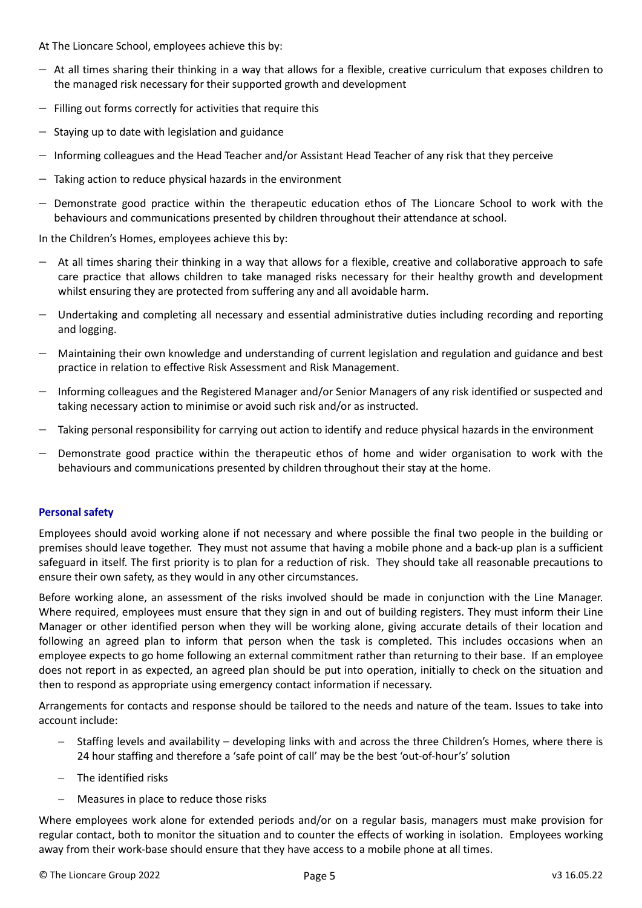At The Lioncare School, employees achieve this by:

- $-$  At all times sharing their thinking in a way that allows for a flexible, creative curriculum that exposes children to the managed risk necessary for their supported growth and development
- $-$  Filling out forms correctly for activities that require this
- $-$  Staying up to date with legislation and guidance
- $-$  Informing colleagues and the Head Teacher and/or Assistant Head Teacher of any risk that they perceive
- $-$  Taking action to reduce physical hazards in the environment
- Demonstrate good practice within the therapeutic education ethos of The Lioncare School to work with the behaviours and communications presented by children throughout their attendance at school.

In the Children's Homes, employees achieve this by:

- At all times sharing their thinking in a way that allows for a flexible, creative and collaborative approach to safe care practice that allows children to take managed risks necessary for their healthy growth and development whilst ensuring they are protected from suffering any and all avoidable harm.
- Undertaking and completing all necessary and essential administrative duties including recording and reporting and logging.
- Maintaining their own knowledge and understanding of current legislation and regulation and guidance and best practice in relation to effective Risk Assessment and Risk Management.
- Informing colleagues and the Registered Manager and/or Senior Managers of any risk identified or suspected and taking necessary action to minimise or avoid such risk and/or as instructed.
- Taking personal responsibility for carrying out action to identify and reduce physical hazards in the environment
- Demonstrate good practice within the therapeutic ethos of home and wider organisation to work with the behaviours and communications presented by children throughout their stay at the home.

# **Personal safety**

Employees should avoid working alone if not necessary and where possible the final two people in the building or premises should leave together. They must not assume that having a mobile phone and a back-up plan is a sufficient safeguard in itself. The first priority is to plan for a reduction of risk. They should take all reasonable precautions to ensure their own safety, as they would in any other circumstances.

Before working alone, an assessment of the risks involved should be made in conjunction with the Line Manager. Where required, employees must ensure that they sign in and out of building registers. They must inform their Line Manager or other identified person when they will be working alone, giving accurate details of their location and following an agreed plan to inform that person when the task is completed. This includes occasions when an employee expects to go home following an external commitment rather than returning to their base. If an employee does not report in as expected, an agreed plan should be put into operation, initially to check on the situation and then to respond as appropriate using emergency contact information if necessary.

Arrangements for contacts and response should be tailored to the needs and nature of the team. Issues to take into account include:

- Staffing levels and availability developing links with and across the three Children's Homes, where there is 24 hour staffing and therefore a 'safe point of call' may be the best 'out-of-hour's' solution
- The identified risks
- Measures in place to reduce those risks

Where employees work alone for extended periods and/or on a regular basis, managers must make provision for regular contact, both to monitor the situation and to counter the effects of working in isolation. Employees working away from their work-base should ensure that they have access to a mobile phone at all times.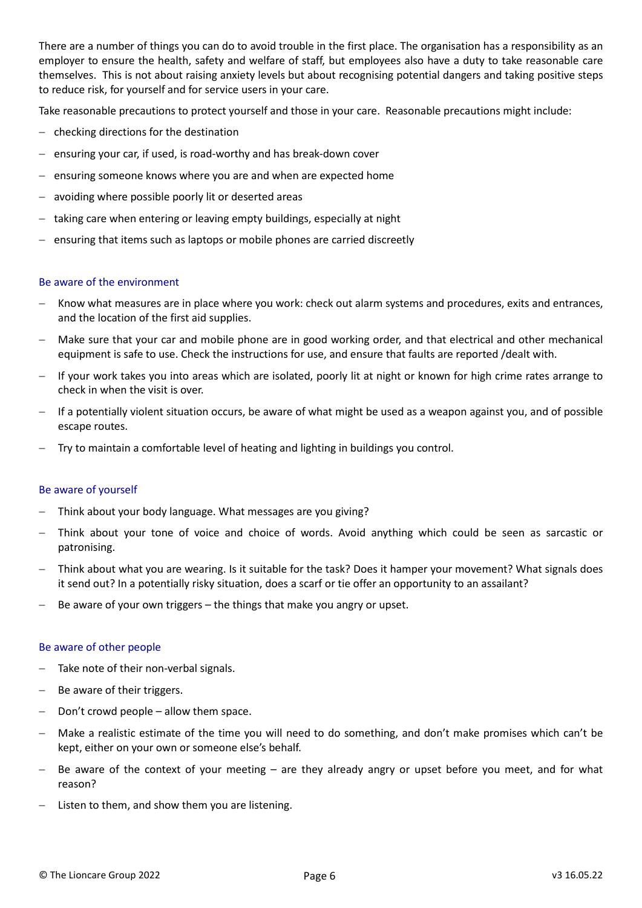There are a number of things you can do to avoid trouble in the first place. The organisation has a responsibility as an employer to ensure the health, safety and welfare of staff, but employees also have a duty to take reasonable care themselves. This is not about raising anxiety levels but about recognising potential dangers and taking positive steps to reduce risk, for yourself and for service users in your care.

Take reasonable precautions to protect yourself and those in your care. Reasonable precautions might include:

- $-$  checking directions for the destination
- $-$  ensuring your car, if used, is road-worthy and has break-down cover
- $-$  ensuring someone knows where you are and when are expected home
- avoiding where possible poorly lit or deserted areas
- $-$  taking care when entering or leaving empty buildings, especially at night
- $-$  ensuring that items such as laptops or mobile phones are carried discreetly

#### Be aware of the environment

- Know what measures are in place where you work: check out alarm systems and procedures, exits and entrances, and the location of the first aid supplies.
- Make sure that your car and mobile phone are in good working order, and that electrical and other mechanical equipment is safe to use. Check the instructions for use, and ensure that faults are reported /dealt with.
- If your work takes you into areas which are isolated, poorly lit at night or known for high crime rates arrange to check in when the visit is over.
- If a potentially violent situation occurs, be aware of what might be used as a weapon against you, and of possible escape routes.
- Try to maintain a comfortable level of heating and lighting in buildings you control.

#### Be aware of yourself

- Think about your body language. What messages are you giving?
- Think about your tone of voice and choice of words. Avoid anything which could be seen as sarcastic or patronising.
- Think about what you are wearing. Is it suitable for the task? Does it hamper your movement? What signals does it send out? In a potentially risky situation, does a scarf or tie offer an opportunity to an assailant?
- Be aware of your own triggers the things that make you angry or upset.

#### Be aware of other people

- Take note of their non-verbal signals.
- Be aware of their triggers.
- Don't crowd people allow them space.
- Make a realistic estimate of the time you will need to do something, and don't make promises which can't be kept, either on your own or someone else's behalf.
- Be aware of the context of your meeting are they already angry or upset before you meet, and for what reason?
- Listen to them, and show them you are listening.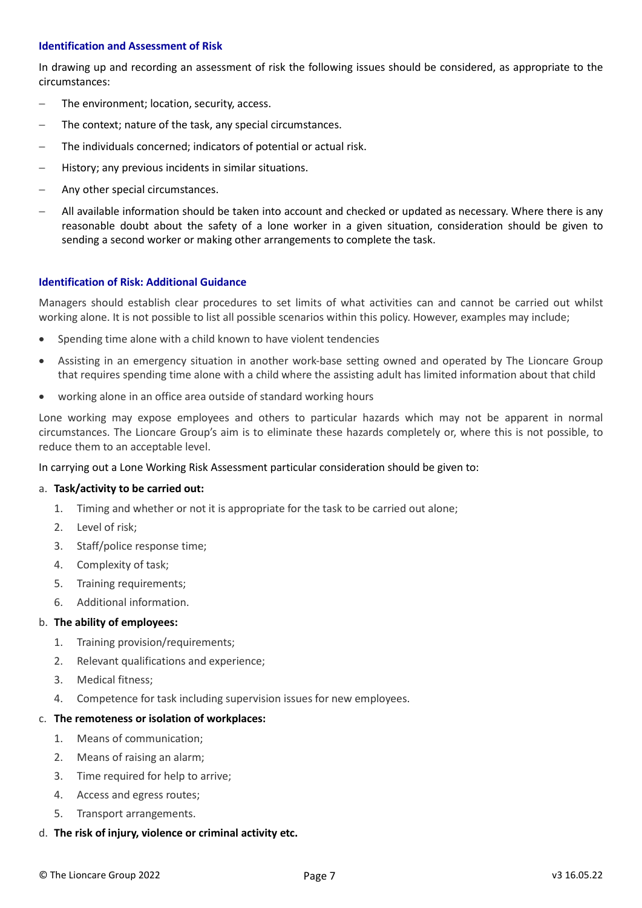### **Identification and Assessment of Risk**

In drawing up and recording an assessment of risk the following issues should be considered, as appropriate to the circumstances:

- The environment; location, security, access.
- The context; nature of the task, any special circumstances.
- The individuals concerned; indicators of potential or actual risk.
- History; any previous incidents in similar situations.
- Any other special circumstances.
- All available information should be taken into account and checked or updated as necessary. Where there is any reasonable doubt about the safety of a lone worker in a given situation, consideration should be given to sending a second worker or making other arrangements to complete the task.

# **Identification of Risk: Additional Guidance**

Managers should establish clear procedures to set limits of what activities can and cannot be carried out whilst working alone. It is not possible to list all possible scenarios within this policy. However, examples may include;

- Spending time alone with a child known to have violent tendencies
- Assisting in an emergency situation in another work-base setting owned and operated by The Lioncare Group that requires spending time alone with a child where the assisting adult has limited information about that child
- working alone in an office area outside of standard working hours

Lone working may expose employees and others to particular hazards which may not be apparent in normal circumstances. The Lioncare Group's aim is to eliminate these hazards completely or, where this is not possible, to reduce them to an acceptable level.

In carrying out a Lone Working Risk Assessment particular consideration should be given to:

# a. **Task/activity to be carried out:**

- 1. Timing and whether or not it is appropriate for the task to be carried out alone;
- 2. Level of risk;
- 3. Staff/police response time;
- 4. Complexity of task;
- 5. Training requirements;
- 6. Additional information.

# b. **The ability of employees:**

- 1. Training provision/requirements;
- 2. Relevant qualifications and experience;
- 3. Medical fitness;
- 4. Competence for task including supervision issues for new employees.

# c. **The remoteness or isolation of workplaces:**

- 1. Means of communication;
- 2. Means of raising an alarm;
- 3. Time required for help to arrive;
- 4. Access and egress routes;
- 5. Transport arrangements.
- d. **The risk of injury, violence or criminal activity etc.**